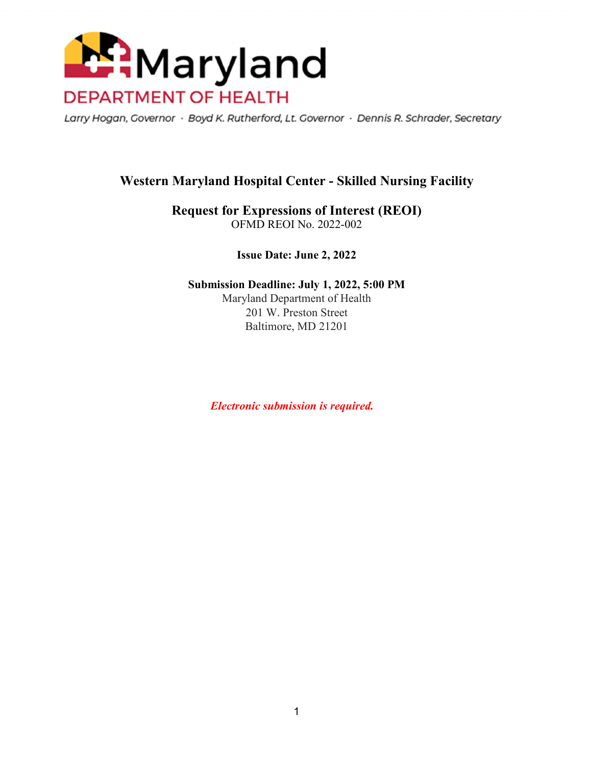

Larry Hogan, Governor · Boyd K. Rutherford, Lt. Governor · Dennis R. Schrader, Secretary

# **Western Maryland Hospital Center - Skilled Nursing Facility**

**Request for Expressions of Interest (REOI)**  OFMD REOI No. 2022-002

**Issue Date: June 2, 2022** 

**Submission Deadline: July 1, 2022, 5:00 PM**  Maryland Department of Health 201 W. Preston Street Baltimore, MD 21201

 *Electronic submission is required.*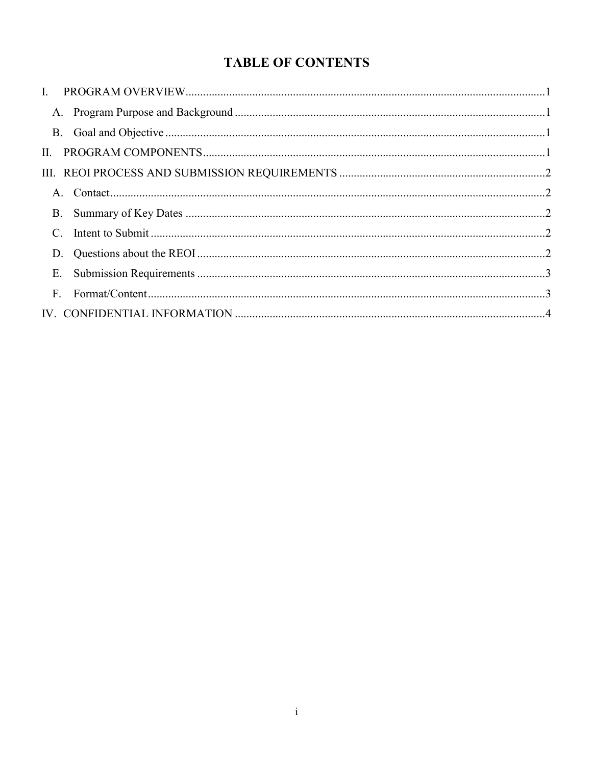# **TABLE OF CONTENTS**

| H.              |  |
|-----------------|--|
|                 |  |
|                 |  |
|                 |  |
| $\mathcal{C}$ . |  |
|                 |  |
| Ε.              |  |
| F <sub>r</sub>  |  |
|                 |  |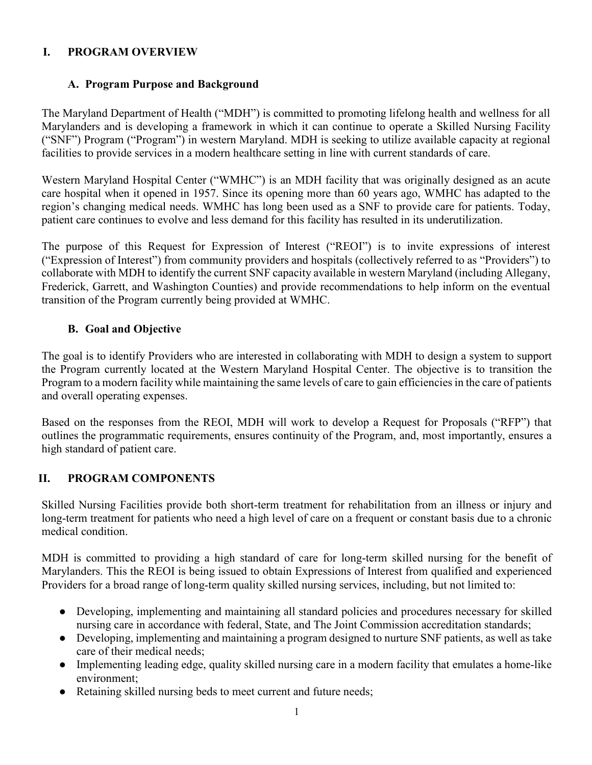#### **I. PROGRAM OVERVIEW**

### **A. Program Purpose and Background**

The Maryland Department of Health ("MDH") is committed to promoting lifelong health and wellness for all Marylanders and is developing a framework in which it can continue to operate a Skilled Nursing Facility ("SNF") Program ("Program") in western Maryland. MDH is seeking to utilize available capacity at regional facilities to provide services in a modern healthcare setting in line with current standards of care.

Western Maryland Hospital Center ("WMHC") is an MDH facility that was originally designed as an acute care hospital when it opened in 1957. Since its opening more than 60 years ago, WMHC has adapted to the region's changing medical needs. WMHC has long been used as a SNF to provide care for patients. Today, patient care continues to evolve and less demand for this facility has resulted in its underutilization.

The purpose of this Request for Expression of Interest ("REOI") is to invite expressions of interest ("Expression of Interest") from community providers and hospitals (collectively referred to as "Providers") to collaborate with MDH to identify the current SNF capacity available in western Maryland (including Allegany, Frederick, Garrett, and Washington Counties) and provide recommendations to help inform on the eventual transition of the Program currently being provided at WMHC.

#### **B. Goal and Objective**

The goal is to identify Providers who are interested in collaborating with MDH to design a system to support the Program currently located at the Western Maryland Hospital Center. The objective is to transition the Program to a modern facility while maintaining the same levels of care to gain efficiencies in the care of patients and overall operating expenses.

Based on the responses from the REOI, MDH will work to develop a Request for Proposals ("RFP") that outlines the programmatic requirements, ensures continuity of the Program, and, most importantly, ensures a high standard of patient care.

# **II. PROGRAM COMPONENTS**

Skilled Nursing Facilities provide both short-term treatment for rehabilitation from an illness or injury and long-term treatment for patients who need a high level of care on a frequent or constant basis due to a chronic medical condition.

MDH is committed to providing a high standard of care for long-term skilled nursing for the benefit of Marylanders. This the REOI is being issued to obtain Expressions of Interest from qualified and experienced Providers for a broad range of long-term quality skilled nursing services, including, but not limited to:

- Developing, implementing and maintaining all standard policies and procedures necessary for skilled nursing care in accordance with federal, State, and The Joint Commission accreditation standards;
- Developing, implementing and maintaining a program designed to nurture SNF patients, as well as take care of their medical needs;
- Implementing leading edge, quality skilled nursing care in a modern facility that emulates a home-like environment;
- Retaining skilled nursing beds to meet current and future needs;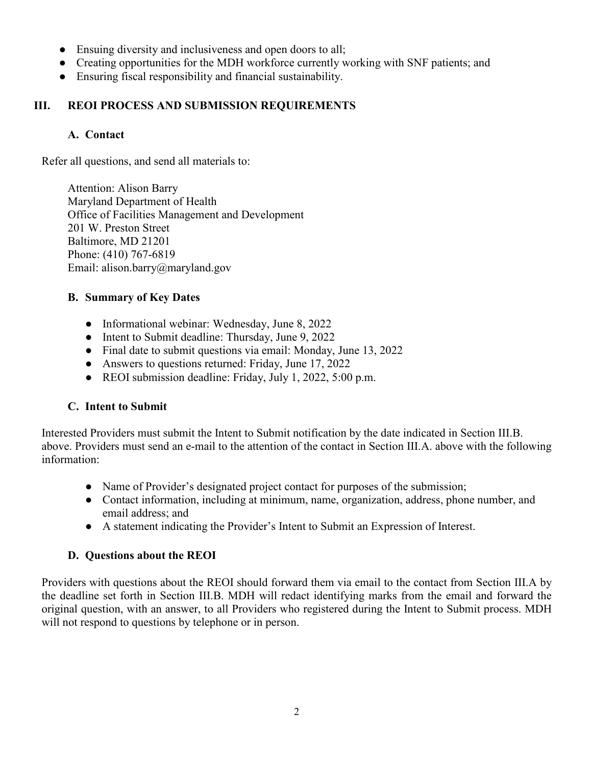- Ensuing diversity and inclusiveness and open doors to all;
- Creating opportunities for the MDH workforce currently working with SNF patients; and
- Ensuring fiscal responsibility and financial sustainability.

#### **III. REOI PROCESS AND SUBMISSION REQUIREMENTS**

#### **A. Contact**

Refer all questions, and send all materials to:

Attention: Alison Barry Maryland Department of Health Office of Facilities Management and Development 201 W. Preston Street Baltimore, MD 21201 Phone: (410) 767-6819 Email: alison.barry@maryland.gov

#### **B. Summary of Key Dates**

- Informational webinar: Wednesday, June 8, 2022
- Intent to Submit deadline: Thursday, June 9, 2022
- Final date to submit questions via email: Monday, June 13, 2022
- Answers to questions returned: Friday, June 17, 2022
- REOI submission deadline: Friday, July 1, 2022, 5:00 p.m.

# **C. Intent to Submit**

Interested Providers must submit the Intent to Submit notification by the date indicated in Section III.B. above. Providers must send an e-mail to the attention of the contact in Section III.A. above with the following information:

- Name of Provider's designated project contact for purposes of the submission;
- Contact information, including at minimum, name, organization, address, phone number, and email address; and
- A statement indicating the Provider's Intent to Submit an Expression of Interest.

#### **D. Questions about the REOI**

Providers with questions about the REOI should forward them via email to the contact from Section III.A by the deadline set forth in Section III.B. MDH will redact identifying marks from the email and forward the original question, with an answer, to all Providers who registered during the Intent to Submit process. MDH will not respond to questions by telephone or in person.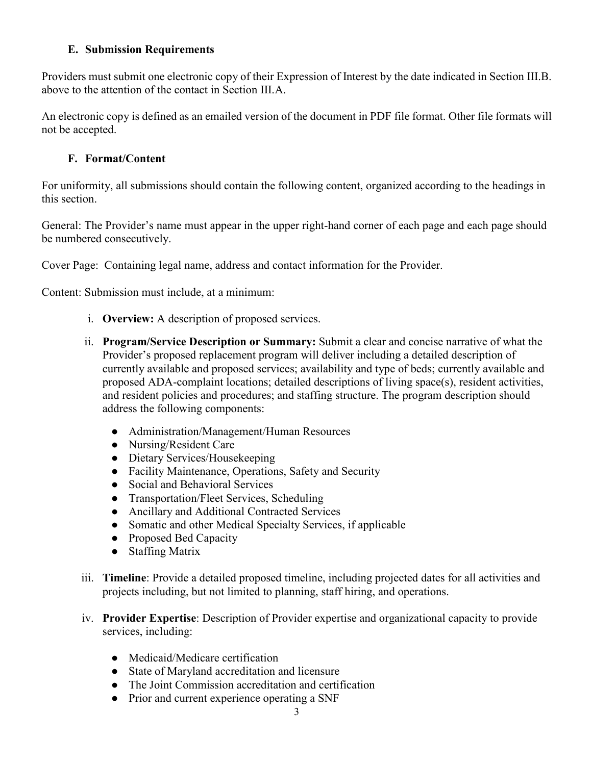#### **E. Submission Requirements**

Providers must submit one electronic copy of their Expression of Interest by the date indicated in Section III.B. above to the attention of the contact in Section III.A.

An electronic copy is defined as an emailed version of the document in PDF file format. Other file formats will not be accepted.

# **F. Format/Content**

For uniformity, all submissions should contain the following content, organized according to the headings in this section.

General: The Provider's name must appear in the upper right-hand corner of each page and each page should be numbered consecutively.

Cover Page: Containing legal name, address and contact information for the Provider.

Content: Submission must include, at a minimum:

- i. **Overview:** A description of proposed services.
- ii. **Program/Service Description or Summary:** Submit a clear and concise narrative of what the Provider's proposed replacement program will deliver including a detailed description of currently available and proposed services; availability and type of beds; currently available and proposed ADA-complaint locations; detailed descriptions of living space(s), resident activities, and resident policies and procedures; and staffing structure. The program description should address the following components:
	- Administration/Management/Human Resources
	- Nursing/Resident Care
	- Dietary Services/Housekeeping
	- Facility Maintenance, Operations, Safety and Security
	- Social and Behavioral Services
	- Transportation/Fleet Services, Scheduling
	- Ancillary and Additional Contracted Services
	- Somatic and other Medical Specialty Services, if applicable
	- Proposed Bed Capacity
	- Staffing Matrix
- iii. **Timeline**: Provide a detailed proposed timeline, including projected dates for all activities and projects including, but not limited to planning, staff hiring, and operations.
- iv. **Provider Expertise**: Description of Provider expertise and organizational capacity to provide services, including:
	- Medicaid/Medicare certification
	- State of Maryland accreditation and licensure
	- The Joint Commission accreditation and certification
	- Prior and current experience operating a SNF